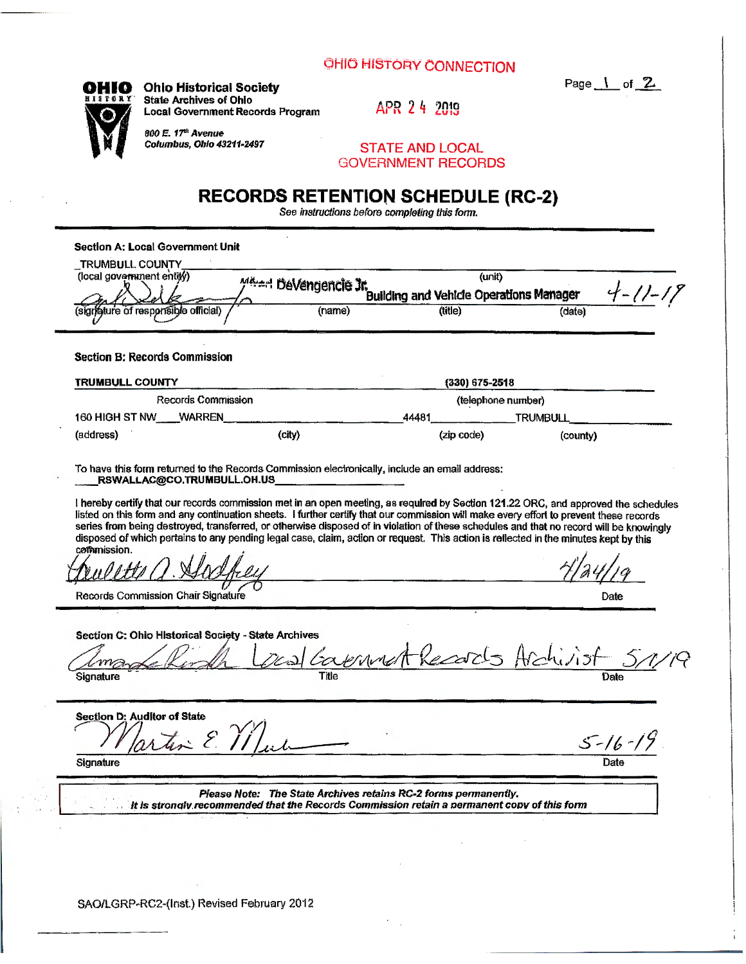## **OHIO HISTORY CONNECTION**

 $\frac{1}{\sqrt{2}}$  or  $\frac{2}{\sqrt{2}}$ 



 $\blacksquare$ 

tura. ÷.

**OHIO** Ohio Historical Society r et al. et al. et al. et al. et al. et al. et al. et al. et al. et al. et al. et al. et al. et al. et al. et<br>Al. et al. et al. et al. et al. et al. et al. et al. et al. et al. et al. et al. et al. et al. et al. et al. e **State Archives of Ohio**<br> **Local Government Records Program** APR 24 2019 **Local Government Records Program** 

*BOO E. 17*\*\* Avenue<br>Columbus, Ohio 43211-2497 STATE AND LOCAL

GOVERNMENT RECORDS

## **RECORDS RETENTION SCHEDULE (RC-2)**

See *instructions before completing this forni.* 

| (local government entity)                                                                                                                                                                                                                                                                                                                                                                                                                                                                                                                                                      | <b>MALAH DeVengencie Jr.</b>                                    | (unit)<br>$4 - 11 - 11$<br>Building and Vehicle Operations Manager |                                    |  |  |
|--------------------------------------------------------------------------------------------------------------------------------------------------------------------------------------------------------------------------------------------------------------------------------------------------------------------------------------------------------------------------------------------------------------------------------------------------------------------------------------------------------------------------------------------------------------------------------|-----------------------------------------------------------------|--------------------------------------------------------------------|------------------------------------|--|--|
| (signature of responsible official)                                                                                                                                                                                                                                                                                                                                                                                                                                                                                                                                            | (name)                                                          | (title)                                                            | (date)                             |  |  |
| <b>Section B: Records Commission</b>                                                                                                                                                                                                                                                                                                                                                                                                                                                                                                                                           |                                                                 |                                                                    |                                    |  |  |
| <b>TRUMBULL COUNTY</b>                                                                                                                                                                                                                                                                                                                                                                                                                                                                                                                                                         |                                                                 |                                                                    | $(330)$ 675-2518                   |  |  |
| Records Commission                                                                                                                                                                                                                                                                                                                                                                                                                                                                                                                                                             |                                                                 | (telephone number)                                                 |                                    |  |  |
| 160 HIGH ST NW<br><b>WARREN</b>                                                                                                                                                                                                                                                                                                                                                                                                                                                                                                                                                |                                                                 | 44481<br><b>TRUMBULL</b>                                           |                                    |  |  |
| (address)                                                                                                                                                                                                                                                                                                                                                                                                                                                                                                                                                                      | (city)                                                          | (zip code)                                                         | (county)                           |  |  |
| To have this form returned to the Records Commission electronically, include an email address:<br>RSWALLAC@CO.TRUMBULL.OH.US                                                                                                                                                                                                                                                                                                                                                                                                                                                   |                                                                 |                                                                    |                                    |  |  |
| I hereby certify that our records commission met in an open meeting, as required by Section 121.22 ORC, and approved the schedules<br>listed on this form and any continuation sheets. I further certify that our commission will make every effort to prevent these records<br>series from being destroyed, transferred, or otherwise disposed of in violation of these schedules and that no record will be knowingly<br>disposed of which pertains to any pending legal case, claim, action or request. This action is reflected in the minutes kept by this<br>commission. |                                                                 |                                                                    |                                    |  |  |
|                                                                                                                                                                                                                                                                                                                                                                                                                                                                                                                                                                                |                                                                 |                                                                    |                                    |  |  |
|                                                                                                                                                                                                                                                                                                                                                                                                                                                                                                                                                                                |                                                                 |                                                                    |                                    |  |  |
| Records Commission Chair Signature                                                                                                                                                                                                                                                                                                                                                                                                                                                                                                                                             |                                                                 |                                                                    | Date                               |  |  |
| Section C: Ohio Historical Society - State Archives<br>Signature                                                                                                                                                                                                                                                                                                                                                                                                                                                                                                               |                                                                 |                                                                    | Deal Covenant Records Archivist 51 |  |  |
| <b>Section D: Auditor of State</b>                                                                                                                                                                                                                                                                                                                                                                                                                                                                                                                                             |                                                                 |                                                                    |                                    |  |  |
| Signature                                                                                                                                                                                                                                                                                                                                                                                                                                                                                                                                                                      |                                                                 |                                                                    | $5 - 16 - 19$<br>Date              |  |  |
| It is strongly recommended that the Records Commission retain a permanent copy of this form                                                                                                                                                                                                                                                                                                                                                                                                                                                                                    | Please Note: The State Archives retains RC-2 forms permanently. |                                                                    |                                    |  |  |
|                                                                                                                                                                                                                                                                                                                                                                                                                                                                                                                                                                                |                                                                 |                                                                    |                                    |  |  |

SAO/LGRP-RC2~(lnst.) Revised February 2012